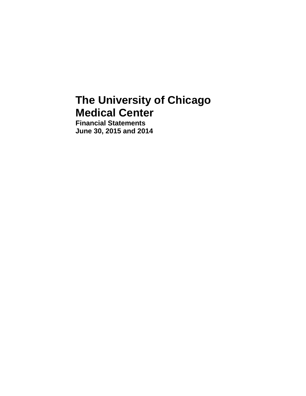# **The University of Chicago Medical Center**

**Financial Statements June 30, 2015 and 2014**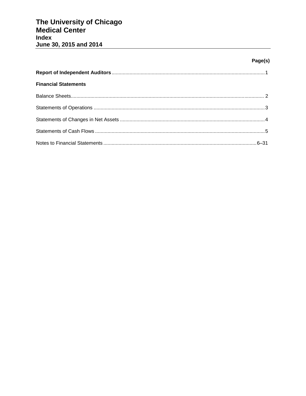# Page(s)

| <b>Financial Statements</b> |  |
|-----------------------------|--|
|                             |  |
|                             |  |
|                             |  |
|                             |  |
|                             |  |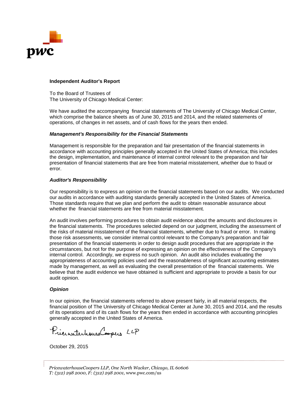

# **Independent Auditor's Report**

To the Board of Trustees of The University of Chicago Medical Center:

We have audited the accompanying financial statements of The University of Chicago Medical Center, which comprise the balance sheets as of June 30, 2015 and 2014, and the related statements of operations, of changes in net assets, and of cash flows for the years then ended.

# *Management's Responsibility for the Financial Statements*

Management is responsible for the preparation and fair presentation of the financial statements in accordance with accounting principles generally accepted in the United States of America; this includes the design, implementation, and maintenance of internal control relevant to the preparation and fair presentation of financial statements that are free from material misstatement, whether due to fraud or error.

## *Auditor's Responsibility*

Our responsibility is to express an opinion on the financial statements based on our audits. We conducted our audits in accordance with auditing standards generally accepted in the United States of America. Those standards require that we plan and perform the audit to obtain reasonable assurance about whether the financial statements are free from material misstatement.

An audit involves performing procedures to obtain audit evidence about the amounts and disclosures in the financial statements. The procedures selected depend on our judgment, including the assessment of the risks of material misstatement of the financial statements, whether due to fraud or error. In making those risk assessments, we consider internal control relevant to the Company's preparation and fair presentation of the financial statements in order to design audit procedures that are appropriate in the circumstances, but not for the purpose of expressing an opinion on the effectiveness of the Company's internal control. Accordingly, we express no such opinion. An audit also includes evaluating the appropriateness of accounting policies used and the reasonableness of significant accounting estimates made by management, as well as evaluating the overall presentation of the financial statements. We believe that the audit evidence we have obtained is sufficient and appropriate to provide a basis for our audit opinion.

## *Opinion*

In our opinion, the financial statements referred to above present fairly, in all material respects, the financial position of The University of Chicago Medical Center at June 30, 2015 and 2014, and the results of its operations and of its cash flows for the years then ended in accordance with accounting principles generally accepted in the United States of America.

PrincipalentrouseCoopers LLP

October 29, 2015

*PricewaterhouseCoopers LLP, One North Wacker, Chicago, IL 60606 T: (312) 298 2000, F: (312) 298 2001,* www.pwc.com/us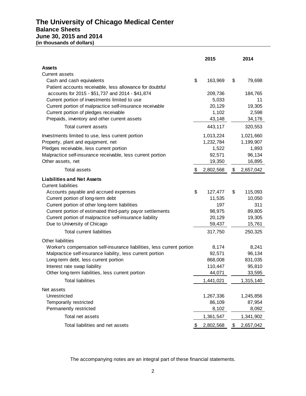# **The University of Chicago Medical Center Balance Sheets June 30, 2015 and 2014 (in thousands of dollars)**

|                                                                        | 2015            | 2014            |
|------------------------------------------------------------------------|-----------------|-----------------|
| <b>Assets</b>                                                          |                 |                 |
| Current assets                                                         |                 |                 |
| Cash and cash equivalents                                              | \$<br>163,969   | \$<br>79,698    |
| Patient accounts receivable, less allowance for doubtful               |                 |                 |
| accounts for 2015 - \$51,737 and 2014 - \$41,874                       | 209,736         | 184,765         |
| Current portion of investments limited to use                          | 5,033           | 11              |
| Current portion of malpractice self-insurance receivable               | 20,129          | 19,305          |
| Current portion of pledges receivable                                  | 1,102           | 2,598           |
| Prepaids, inventory and other current assets                           | 43,148          | 34,176          |
| Total current assets                                                   | 443,117         | 320,553         |
| Investments limited to use, less current portion                       | 1,013,224       | 1,021,660       |
| Property, plant and equipment, net                                     | 1,232,784       | 1,199,907       |
| Pledges receivable, less current portion                               | 1,522           | 1,893           |
| Malpractice self-insurance receivable, less current portion            | 92,571          | 96,134          |
| Other assets, net                                                      | 19,350          | 16,895          |
| <b>Total assets</b>                                                    | \$<br>2,802,568 | \$<br>2,657,042 |
| <b>Liabilities and Net Assets</b>                                      |                 |                 |
| <b>Current liabilities</b>                                             |                 |                 |
| Accounts payable and accrued expenses                                  | \$<br>127,477   | \$<br>115,093   |
| Current portion of long-term debt                                      | 11,535          | 10,050          |
| Current portion of other long-term liabilities                         | 197             | 311             |
| Current portion of estimated third-party payor settlements             | 98,975          | 89,805          |
| Current portion of malpractice self-insurance liability                | 20,129          | 19,305          |
| Due to University of Chicago                                           | 59,437          | 15,761          |
| <b>Total current liabilities</b>                                       | 317,750         | 250,325         |
| <b>Other liabilities</b>                                               |                 |                 |
| Worker's compensation self-insurance liabilities, less current portion | 8,174           | 8,241           |
| Malpractice self-insurance liability, less current portion             | 92,571          | 96,134          |
| Long-term debt, less current portion                                   | 868,008         | 831,035         |
| Interest rate swap liability                                           | 110,447         | 95,810          |
| Other long-term liabilities, less current portion                      | 44,071          | 33,595          |
| <b>Total liabilities</b>                                               | 1,441,021       | 1,315,140       |
| Net assets                                                             |                 |                 |
| Unrestricted                                                           | 1,267,336       | 1,245,856       |
| Temporarily restricted                                                 | 86,109          | 87,954          |
| Permanently restricted                                                 | 8,102           | 8,092           |
| Total net assets                                                       | 1,361,547       | 1,341,902       |
| Total liabilities and net assets                                       | \$<br>2,802,568 | \$<br>2,657,042 |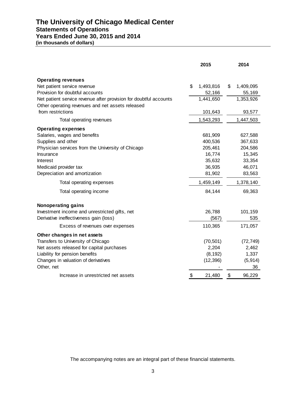# **The University of Chicago Medical Center Statements of Operations Years Ended June 30, 2015 and 2014**

| (in thousands of dollars) |  |
|---------------------------|--|
|---------------------------|--|

|                                                                                                                       | 2015 |           |               | 2014      |
|-----------------------------------------------------------------------------------------------------------------------|------|-----------|---------------|-----------|
|                                                                                                                       |      |           |               |           |
| <b>Operating revenues</b>                                                                                             |      |           |               |           |
| Net patient service revenue                                                                                           | \$   | 1,493,816 | \$            | 1,409,095 |
| Provision for doubtful accounts                                                                                       |      | 52,166    |               | 55,169    |
| Net patient service revenue after provision for doubtful accounts<br>Other operating revenues and net assets released |      | 1,441,650 |               | 1,353,926 |
| from restrictions                                                                                                     |      | 101,643   |               | 93,577    |
| Total operating revenues                                                                                              |      | 1,543,293 |               | 1,447,503 |
| <b>Operating expenses</b>                                                                                             |      |           |               |           |
| Salaries, wages and benefits                                                                                          |      | 681,909   |               | 627,588   |
| Supplies and other                                                                                                    |      | 400,536   |               | 367,633   |
| Physician services from the University of Chicago                                                                     |      | 205,461   |               | 204,586   |
| Insurance                                                                                                             |      | 16,774    |               | 15,345    |
| Interest                                                                                                              |      | 35,632    |               | 33,354    |
| Medicaid provider tax                                                                                                 |      | 36,935    |               | 46,071    |
| Depreciation and amortization                                                                                         |      | 81,902    |               | 83,563    |
| Total operating expenses                                                                                              |      | 1,459,149 |               | 1,378,140 |
| Total operating income                                                                                                |      | 84,144    |               | 69,363    |
| <b>Nonoperating gains</b>                                                                                             |      |           |               |           |
| Investment income and unrestricted gifts, net                                                                         |      | 26,788    |               | 101,159   |
| Derivative ineffectiveness gain (loss)                                                                                |      | (567)     |               | 535       |
| Excess of revenues over expenses                                                                                      |      | 110,365   |               | 171,057   |
| Other changes in net assets                                                                                           |      |           |               |           |
| Transfers to University of Chicago                                                                                    |      | (70, 501) |               | (72, 749) |
| Net assets released for capital purchases                                                                             |      | 2,204     |               | 2,462     |
| Liability for pension benefits                                                                                        |      | (8, 192)  |               | 1,337     |
| Changes in valuation of derivatives                                                                                   |      | (12, 396) |               | (5, 914)  |
| Other, net                                                                                                            |      |           |               | 36        |
| Increase in unrestricted net assets                                                                                   | \$   | 21,480    | $\frac{1}{2}$ | 96,229    |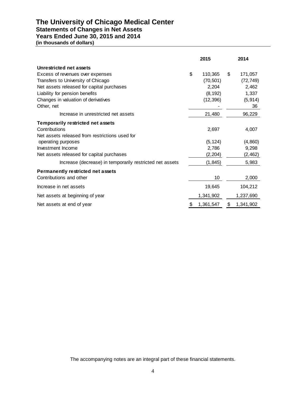# **The University of Chicago Medical Center**

# **Statements of Changes in Net Assets**

**Years Ended June 30, 2015 and 2014**

**(in thousands of dollars)**

|                                                          | 2015            | 2014            |
|----------------------------------------------------------|-----------------|-----------------|
| Unrestricted net assets                                  |                 |                 |
| Excess of revenues over expenses                         | \$<br>110,365   | \$<br>171,057   |
| Transfers to University of Chicago                       | (70, 501)       | (72, 749)       |
| Net assets released for capital purchases                | 2,204           | 2,462           |
| Liability for pension benefits                           | (8, 192)        | 1,337           |
| Changes in valuation of derivatives                      | (12, 396)       | (5, 914)        |
| Other, net                                               |                 | 36              |
| Increase in unrestricted net assets                      | 21,480          | 96,229          |
| Temporarily restricted net assets                        |                 |                 |
| Contributions                                            | 2,697           | 4,007           |
| Net assets released from restrictions used for           |                 |                 |
| operating purposes                                       | (5, 124)        | (4,860)         |
| Investment Income                                        | 2,786           | 9,298           |
| Net assets released for capital purchases                | (2,204)         | (2, 462)        |
| Increase (decrease) in temporarily restricted net assets | (1, 845)        | 5,983           |
| <b>Permanently restricted net assets</b>                 |                 |                 |
| Contributions and other                                  | 10              | 2,000           |
| Increase in net assets                                   | 19,645          | 104,212         |
| Net assets at beginning of year                          | 1,341,902       | 1,237,690       |
| Net assets at end of year                                | \$<br>1,361,547 | \$<br>1,341,902 |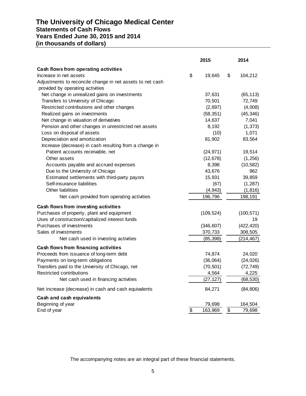# **The University of Chicago Medical Center Statements of Cash Flows Years Ended June 30, 2015 and 2014 (in thousands of dollars)**

|                                                           |                          | 2015       |                 | 2014       |
|-----------------------------------------------------------|--------------------------|------------|-----------------|------------|
| Cash flows from operating activities                      |                          |            |                 |            |
| Increase in net assets                                    | \$                       | 19,645     | \$              | 104,212    |
| Adjustments to reconcile change in net assets to net cash |                          |            |                 |            |
| provided by operating activities                          |                          |            |                 |            |
| Net change in unrealized gains on investments             |                          | 37,631     |                 | (65, 113)  |
| Transfers to University of Chicago                        |                          | 70,501     |                 | 72,749     |
| Restricted contributions and other changes                |                          | (2,697)    |                 | (4,008)    |
| Realized gains on investments                             |                          | (58, 351)  |                 | (45, 346)  |
| Net change in valuation of derivatives                    |                          | 14,637     |                 | 7,041      |
| Pension and other changes in unrestricted net assets      |                          | 8,192      |                 | (1, 373)   |
| Loss on disposal of assets                                |                          | (10)       |                 | 1,071      |
| Depreciation and amortization                             |                          | 81,902     |                 | 83,564     |
| Increase (decrease) in cash resulting from a change in    |                          |            |                 |            |
| Patient accounts receivable, net                          |                          | (24, 971)  |                 | 19,514     |
| Other assets                                              |                          | (12, 678)  |                 | (1, 256)   |
| Accounts payable and accrued expenses                     |                          | 8,398      |                 | (10, 582)  |
| Due to the University of Chicago                          |                          | 43,676     |                 | 962        |
| Estimated settlements with third-party payors             |                          | 15,931     |                 | 39,859     |
| Self-insurance liabilities                                |                          | (67)       |                 | (1, 287)   |
| <b>Other liabilities</b>                                  |                          | (4, 943)   |                 | (1, 816)   |
| Net cash provided from operating activities               |                          | 196,796    |                 | 198,191    |
| Cash flows from investing activities                      |                          |            |                 |            |
| Purchases of property, plant and equipment                |                          | (109, 524) |                 | (100, 571) |
| Uses of construction/capitalized interest funds           |                          |            |                 | 19         |
| Purchases of investments                                  |                          | (346, 607) |                 | (422, 420) |
| Sales of investments                                      |                          | 370,733    |                 | 308,505    |
| Net cash used in investing activities                     |                          | (85, 398)  |                 | (214, 467) |
| Cash flows from financing activities                      |                          |            |                 |            |
| Proceeds from issuance of long-term debt                  |                          | 74,874     |                 | 24,020     |
| Payments on long-term obligations                         |                          | (36,064)   |                 | (24, 026)  |
| Transfers paid to the University of Chicago, net          |                          | (70, 501)  |                 | (72, 749)  |
| <b>Restricted contributions</b>                           |                          | 4,564      |                 | 4,225      |
| Net cash used in financing activities                     |                          | (27, 127)  |                 | (68, 530)  |
| Net increase (decrease) in cash and cash equivalents      |                          | 84,271     |                 | (84, 806)  |
| Cash and cash equivalents                                 |                          |            |                 |            |
| Beginning of year                                         |                          | 79,698     |                 | 164,504    |
| End of year                                               | $\overline{\mathcal{S}}$ | 163,969    | $\overline{\$}$ | 79,698     |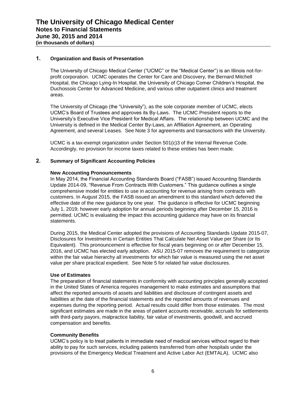# **1. Organization and Basis of Presentation**

The University of Chicago Medical Center ("UCMC" or the "Medical Center") is an Illinois not-forprofit corporation. UCMC operates the Center for Care and Discovery, the Bernard Mitchell Hospital, the Chicago Lying-In Hospital, the University of Chicago Comer Children's Hospital, the Duchossois Center for Advanced Medicine, and various other outpatient clinics and treatment areas.

The University of Chicago (the "University"), as the sole corporate member of UCMC, elects UCMC's Board of Trustees and approves its By-Laws. The UCMC President reports to the University's Executive Vice President for Medical Affairs. The relationship between UCMC and the University is defined in the Medical Center By-Laws, an Affiliation Agreement, an Operating Agreement, and several Leases. See Note 3 for agreements and transactions with the University.

UCMC is a tax-exempt organization under Section 501(c)3 of the Internal Revenue Code. Accordingly, no provision for income taxes related to these entities has been made.

# **2. Summary of Significant Accounting Policies**

#### **New Accounting Pronouncements**

In May 2014, the Financial Accounting Standards Board ("FASB") issued Accounting Standards Update 2014-09, "Revenue From Contracts With Customers." This guidance outlines a single comprehensive model for entities to use in accounting for revenue arising from contracts with customers. In August 2015, the FASB issued an amendment to this standard which deferred the effective date of the new guidance by one year. The guidance is effective for UCMC beginning July 1, 2019; however early adoption for annual periods beginning after December 15, 2016 is permitted. UCMC is evaluating the impact this accounting guidance may have on its financial statements.

During 2015, the Medical Center adopted the provisions of Accounting Standards Update 2015-07, Disclosures for Investments in Certain Entities That Calculate Net Asset Value per Share (or Its Equivalent). This pronouncement is effective for fiscal years beginning on or after December 15, 2016, and UCMC has elected early adoption. ASU 2015-07 removes the requirement to categorize within the fair value hierarchy all investments for which fair value is measured using the net asset value per share practical expedient. See Note 5 for related fair value disclosures.

## **Use of Estimates**

The preparation of financial statements in conformity with accounting principles generally accepted in the United States of America requires management to make estimates and assumptions that affect the reported amounts of assets and liabilities and disclosure of contingent assets and liabilities at the date of the financial statements and the reported amounts of revenues and expenses during the reporting period. Actual results could differ from those estimates. The most significant estimates are made in the areas of patient accounts receivable, accruals for settlements with third-party payors, malpractice liability, fair value of investments, goodwill, and accrued compensation and benefits.

## **Community Benefits**

UCMC's policy is to treat patients in immediate need of medical services without regard to their ability to pay for such services, including patients transferred from other hospitals under the provisions of the Emergency Medical Treatment and Active Labor Act (EMTALA). UCMC also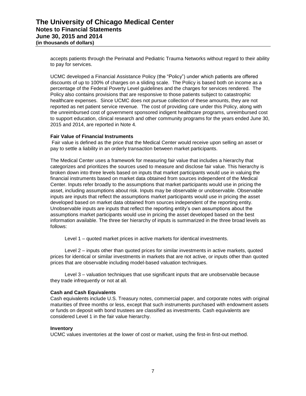accepts patients through the Perinatal and Pediatric Trauma Networks without regard to their ability to pay for services.

UCMC developed a Financial Assistance Policy (the "Policy") under which patients are offered discounts of up to 100% of charges on a sliding scale. The Policy is based both on income as a percentage of the Federal Poverty Level guidelines and the charges for services rendered. The Policy also contains provisions that are responsive to those patients subject to catastrophic healthcare expenses. Since UCMC does not pursue collection of these amounts, they are not reported as net patient service revenue. The cost of providing care under this Policy, along with the unreimbursed cost of government sponsored indigent healthcare programs, unreimbursed cost to support education, clinical research and other community programs for the years ended June 30, 2015 and 2014, are reported in Note 4.

## **Fair Value of Financial Instruments**

Fair value is defined as the price that the Medical Center would receive upon selling an asset or pay to settle a liability in an orderly transaction between market participants.

The Medical Center uses a framework for measuring fair value that includes a hierarchy that categorizes and prioritizes the sources used to measure and disclose fair value. This hierarchy is broken down into three levels based on inputs that market participants would use in valuing the financial instruments based on market data obtained from sources independent of the Medical Center. Inputs refer broadly to the assumptions that market participants would use in pricing the asset, including assumptions about risk. Inputs may be observable or unobservable. Observable inputs are inputs that reflect the assumptions market participants would use in pricing the asset developed based on market data obtained from sources independent of the reporting entity. Unobservable inputs are inputs that reflect the reporting entity's own assumptions about the assumptions market participants would use in pricing the asset developed based on the best information available. The three tier hierarchy of inputs is summarized in the three broad levels as follows:

Level 1 – quoted market prices in active markets for identical investments.

Level 2 – inputs other than quoted prices for similar investments in active markets, quoted prices for identical or similar investments in markets that are not active, or inputs other than quoted prices that are observable including model-based valuation techniques.

Level 3 – valuation techniques that use significant inputs that are unobservable because they trade infrequently or not at all.

# **Cash and Cash Equivalents**

Cash equivalents include U.S. Treasury notes, commercial paper, and corporate notes with original maturities of three months or less, except that such instruments purchased with endowment assets or funds on deposit with bond trustees are classified as investments. Cash equivalents are considered Level 1 in the fair value hierarchy.

## **Inventory**

UCMC values inventories at the lower of cost or market, using the first-in first-out method.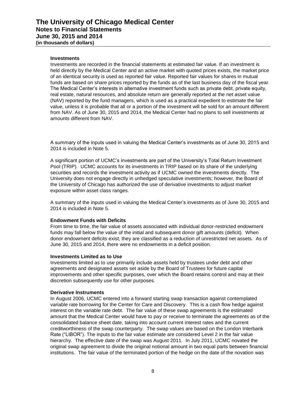#### **Investments**

Investments are recorded in the financial statements at estimated fair value. If an investment is held directly by the Medical Center and an active market with quoted prices exists, the market price of an identical security is used as reported fair value. Reported fair values for shares in mutual funds are based on share prices reported by the funds as of the last business day of the fiscal year. The Medical Center's interests in alternative investment funds such as private debt, private equity, real estate, natural resources, and absolute return are generally reported at the net asset value (NAV) reported by the fund managers, which is used as a practical expedient to estimate the fair value, unless it is probable that all or a portion of the investment will be sold for an amount different from NAV. As of June 30, 2015 and 2014, the Medical Center had no plans to sell investments at amounts different from NAV.

A summary of the inputs used in valuing the Medical Center's investments as of June 30, 2015 and 2014 is included in Note 5.

A significant portion of UCMC's investments are part of the University's Total Return Investment Pool (TRIP). UCMC accounts for its investments in TRIP based on its share of the underlying securities and records the investment activity as if UCMC owned the investments directly. The University does not engage directly in unhedged speculative investments; however, the Board of the University of Chicago has authorized the use of derivative investments to adjust market exposure within asset class ranges.

A summary of the inputs used in valuing the Medical Center's investments as of June 30, 2015 and 2014 is included in Note 5.

#### **Endowment Funds with Deficits**

From time to time, the fair value of assets associated with individual donor-restricted endowment funds may fall below the value of the initial and subsequent donor gift amounts (deficit). When donor endowment deficits exist, they are classified as a reduction of unrestricted net assets. As of June 30, 2015 and 2014, there were no endowments in a deficit position.

#### **Investments Limited as to Use**

Investments limited as to use primarily include assets held by trustees under debt and other agreements and designated assets set aside by the Board of Trustees for future capital improvements and other specific purposes, over which the Board retains control and may at their discretion subsequently use for other purposes.

#### **Derivative Instruments**

In August 2006, UCMC entered into a forward starting swap transaction against contemplated variable rate borrowing for the Center for Care and Discovery. This is a cash flow hedge against interest on the variable rate debt. The fair value of these swap agreements is the estimated amount that the Medical Center would have to pay or receive to terminate the agreements as of the consolidated balance sheet date, taking into account current interest rates and the current creditworthiness of the swap counterparty. The swap values are based on the London Interbank Rate ("LIBOR"). The inputs to the fair value estimate are considered Level 2 in the fair value hierarchy. The effective date of the swap was August 2011. In July 2011, UCMC novated the original swap agreement to divide the original notional amount in two equal parts between financial institutions. The fair value of the terminated portion of the hedge on the date of the novation was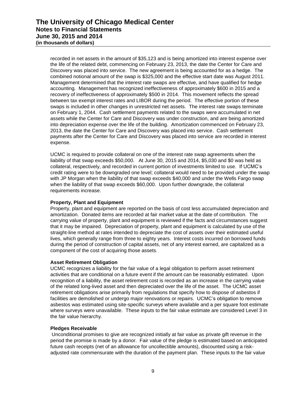recorded in net assets in the amount of \$35,123 and is being amortized into interest expense over the life of the related debt, commencing on February 23, 2013, the date the Center for Care and Discovery was placed into service. The new agreement is being accounted for as a hedge. The combined notional amount of the swap is \$325,000 and the effective start date was August 2011. Management determined that the interest rate swaps are effective, and have qualified for hedge accounting. Management has recognized ineffectiveness of approximately \$600 in 2015 and a recovery of ineffectiveness of approximately \$500 in 2014. This movement reflects the spread between tax exempt interest rates and LIBOR during the period. The effective portion of these swaps is included in other changes in unrestricted net assets. The interest rate swaps terminate on February 1, 2044. Cash settlement payments related to the swaps were accumulated in net assets while the Center for Care and Discovery was under construction, and are being amortized into depreciation expense over the life of the building. Amortization commenced on February 23, 2013, the date the Center for Care and Discovery was placed into service. Cash settlement payments after the Center for Care and Discovery was placed into service are recorded in interest expense.

UCMC is required to provide collateral on one of the interest rate swap agreements when the liability of that swap exceeds \$50,000. At June 30, 2015 and 2014, \$5,030 and \$0 was held as collateral, respectively, and recorded in current portion of investments limited to use. If UCMC's credit rating were to be downgraded one level; collateral would need to be provided under the swap with JP Morgan when the liability of that swap exceeds \$40,000 and under the Wells Fargo swap when the liability of that swap exceeds \$60,000. Upon further downgrade, the collateral requirements increase.

# **Property, Plant and Equipment**

Property, plant and equipment are reported on the basis of cost less accumulated depreciation and amortization. Donated items are recorded at fair market value at the date of contribution. The carrying value of property, plant and equipment is reviewed if the facts and circumstances suggest that it may be impaired. Depreciation of property, plant and equipment is calculated by use of the straight-line method at rates intended to depreciate the cost of assets over their estimated useful lives, which generally range from three to eighty years. Interest costs incurred on borrowed funds during the period of construction of capital assets, net of any interest earned, are capitalized as a component of the cost of acquiring those assets.

## **Asset Retirement Obligation**

UCMC recognizes a liability for the fair value of a legal obligation to perform asset retirement activities that are conditional on a future event if the amount can be reasonably estimated. Upon recognition of a liability, the asset retirement cost is recorded as an increase in the carrying value of the related long-lived asset and then depreciated over the life of the asset. The UCMC asset retirement obligations arise primarily from regulations that specify how to dispose of asbestos if facilities are demolished or undergo major renovations or repairs. UCMC's obligation to remove asbestos was estimated using site-specific surveys where available and a per square foot estimate where surveys were unavailable. These inputs to the fair value estimate are considered Level 3 in the fair value hierarchy.

## **Pledges Receivable**

Unconditional promises to give are recognized initially at fair value as private gift revenue in the period the promise is made by a donor. Fair value of the pledge is estimated based on anticipated future cash receipts (net of an allowance for uncollectible amounts), discounted using a riskadjusted rate commensurate with the duration of the payment plan. These inputs to the fair value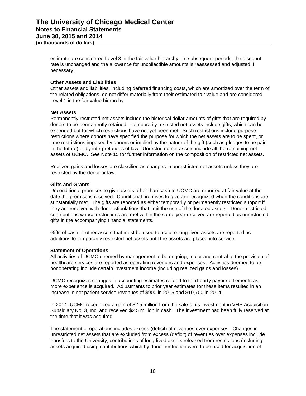estimate are considered Level 3 in the fair value hierarchy. In subsequent periods, the discount rate is unchanged and the allowance for uncollectible amounts is reassessed and adjusted if necessary.

## **Other Assets and Liabilities**

Other assets and liabilities, including deferred financing costs, which are amortized over the term of the related obligations, do not differ materially from their estimated fair value and are considered Level 1 in the fair value hierarchy

# **Net Assets**

Permanently restricted net assets include the historical dollar amounts of gifts that are required by donors to be permanently retained. Temporarily restricted net assets include gifts, which can be expended but for which restrictions have not yet been met. Such restrictions include purpose restrictions where donors have specified the purpose for which the net assets are to be spent, or time restrictions imposed by donors or implied by the nature of the gift (such as pledges to be paid in the future) or by interpretations of law. Unrestricted net assets include all the remaining net assets of UCMC. See Note 15 for further information on the composition of restricted net assets.

Realized gains and losses are classified as changes in unrestricted net assets unless they are restricted by the donor or law.

# **Gifts and Grants**

Unconditional promises to give assets other than cash to UCMC are reported at fair value at the date the promise is received. Conditional promises to give are recognized when the conditions are substantially met. The gifts are reported as either temporarily or permanently restricted support if they are received with donor stipulations that limit the use of the donated assets. Donor-restricted contributions whose restrictions are met within the same year received are reported as unrestricted gifts in the accompanying financial statements.

Gifts of cash or other assets that must be used to acquire long-lived assets are reported as additions to temporarily restricted net assets until the assets are placed into service.

## **Statement of Operations**

All activities of UCMC deemed by management to be ongoing, major and central to the provision of healthcare services are reported as operating revenues and expenses. Activities deemed to be nonoperating include certain investment income (including realized gains and losses).

UCMC recognizes changes in accounting estimates related to third-party payor settlements as more experience is acquired. Adjustments to prior year estimates for these items resulted in an increase in net patient service revenues of \$900 in 2015 and \$10,700 in 2014.

In 2014, UCMC recognized a gain of \$2.5 million from the sale of its investment in VHS Acquisition Subsidiary No. 3, Inc. and received \$2.5 million in cash. The investment had been fully reserved at the time that it was acquired.

The statement of operations includes excess (deficit) of revenues over expenses. Changes in unrestricted net assets that are excluded from excess (deficit) of revenues over expenses include transfers to the University, contributions of long-lived assets released from restrictions (including assets acquired using contributions which by donor restriction were to be used for acquisition of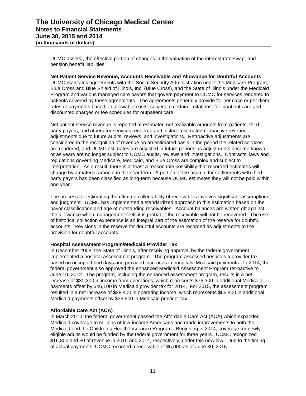UCMC assets), the effective portion of changes in the valuation of the interest rate swap, and pension benefit liabilities.

**Net Patient Service Revenue, Accounts Receivable and Allowance for Doubtful Accounts** UCMC maintains agreements with the Social Security Administration under the Medicare Program, Blue Cross and Blue Shield of Illinois, Inc. (Blue Cross), and the State of Illinois under the Medicaid Program and various managed care payors that govern payment to UCMC for services rendered to patients covered by these agreements. The agreements generally provide for per case or per diem rates or payments based on allowable costs, subject to certain limitations, for inpatient care and discounted charges or fee schedules for outpatient care.

Net patient service revenue is reported at estimated net realizable amounts from patients, thirdparty payors, and others for services rendered and include estimated retroactive revenue adjustments due to future audits, reviews, and investigations. Retroactive adjustments are considered in the recognition of revenue on an estimated basis in the period the related services are rendered, and UCMC estimates are adjusted in future periods as adjustments become known or as years are no longer subject to UCMC audits, reviews and investigations. Contracts, laws and regulations governing Medicare, Medicaid, and Blue Cross are complex and subject to interpretation. As a result, there is at least a reasonable possibility that recorded estimates will change by a material amount in the near term. A portion of the accrual for settlements with thirdparty payors has been classified as long-term because UCMC estimates they will not be paid within one year.

The process for estimating the ultimate collectability of receivables involves significant assumptions and judgment. UCMC has implemented a standardized approach to this estimation based on the payor classification and age of outstanding receivables. Account balances are written off against the allowance when management feels it is probable the receivable will not be recovered. The use of historical collection experience is an integral part of the estimation of the reserve for doubtful accounts. Revisions in the reserve for doubtful accounts are recorded as adjustments to the provision for doubtful accounts.

# **Hospital Assessment Program/Medicaid Provider Tax**

In December 2008, the State of Illinois, after receiving approval by the federal government, implemented a hospital assessment program. The program assessed hospitals a provider tax based on occupied bed days and provided increases in hospitals' Medicaid payments. In 2014, the federal government also approved the enhanced Medicaid Assessment Program retroactive to June 10, 2012. The program, including the enhanced assessment program, results in a net increase of \$30,200 in income from operations, which represents \$76,300 in additional Medicaid payments offset by \$46,100 in Medicaid provider tax for 2014. For 2015, the assessment program resulted in a net increase of \$28,400 in operating income, which represents \$65,400 in additional Medicaid payments offset by \$36,900 in Medicaid provider tax.

# **Affordable Care Act (ACA)**

In March 2010, the federal government passed the Affordable Care Act (ACA) which expanded Medicaid coverage to millions of low-income Americans and made improvements to both the Medicaid and the Children's Health Insurance Program. Beginning in 2014, coverage for newly eligible adults would be funded by the federal government for three years. UCMC recognized \$16,800 and \$0 of revenue in 2015 and 2014, respectively, under this new law. Due to the timing of actual payments, UCMC recorded a receivable of \$5,000 as of June 30, 2015.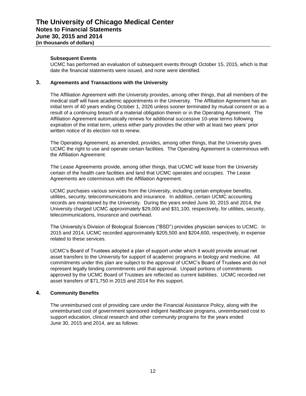# **Subsequent Events**

UCMC has performed an evaluation of subsequent events through October 15, 2015, which is that date the financial statements were issued, and none were identified.

# **3. Agreements and Transactions with the University**

The Affiliation Agreement with the University provides, among other things, that all members of the medical staff will have academic appointments in the University. The Affiliation Agreement has an initial term of 40 years ending October 1, 2026 unless sooner terminated by mutual consent or as a result of a continuing breach of a material obligation therein or in the Operating Agreement. The Affiliation Agreement automatically renews for additional successive 10-year terms following expiration of the initial term, unless either party provides the other with at least two years' prior written notice of its election not to renew.

The Operating Agreement, as amended, provides, among other things, that the University gives UCMC the right to use and operate certain facilities. The Operating Agreement is coterminous with the Affiliation Agreement.

The Lease Agreements provide, among other things, that UCMC will lease from the University certain of the health care facilities and land that UCMC operates and occupies. The Lease Agreements are coterminous with the Affiliation Agreement.

UCMC purchases various services from the University, including certain employee benefits, utilities, security, telecommunications and insurance. In addition, certain UCMC accounting records are maintained by the University. During the years ended June 30, 2015 and 2014, the University charged UCMC approximately \$29,000 and \$31,100, respectively, for utilities, security, telecommunications, insurance and overhead.

The University's Division of Biological Sciences ("BSD") provides physician services to UCMC. In 2015 and 2014, UCMC recorded approximately \$205,500 and \$204,600, respectively, in expense related to these services.

UCMC's Board of Trustees adopted a plan of support under which it would provide annual net asset transfers to the University for support of academic programs in biology and medicine. All commitments under this plan are subject to the approval of UCMC's Board of Trustees and do not represent legally binding commitments until that approval. Unpaid portions of commitments approved by the UCMC Board of Trustees are reflected as current liabilities. UCMC recorded net asset transfers of \$71,750 in 2015 and 2014 for this support.

# **4. Community Benefits**

The unreimbursed cost of providing care under the Financial Assistance Policy, along with the unreimbursed cost of government sponsored indigent healthcare programs, unreimbursed cost to support education, clinical research and other community programs for the years ended June 30, 2015 and 2014, are as follows: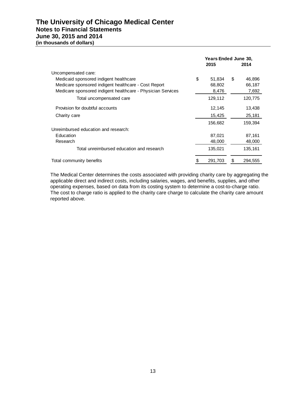# **The University of Chicago Medical Center Notes to Financial Statements June 30, 2015 and 2014**

**(in thousands of dollars)**

|                                                             |    | <b>Years Ended June 30,</b><br>2015 | 2014 |         |  |
|-------------------------------------------------------------|----|-------------------------------------|------|---------|--|
| Uncompensated care:                                         |    |                                     |      |         |  |
| Medicaid sponsored indigent healthcare                      | \$ | 51,834                              | \$   | 46,896  |  |
| Medicare sponsored indigent healthcare - Cost Report        |    | 68,802                              |      | 66,187  |  |
| Medicare sponsored indigent healthcare - Physician Services |    | 8,476                               |      | 7,692   |  |
| Total uncompensated care                                    |    | 129,112                             |      | 120,775 |  |
| Provision for doubtful accounts                             |    | 12,145                              |      | 13,438  |  |
| Charity care                                                |    | 15,425                              |      | 25,181  |  |
|                                                             |    | 156,682                             |      | 159,394 |  |
| Unreimbursed education and research:                        |    |                                     |      |         |  |
| Education                                                   |    | 87,021                              |      | 87,161  |  |
| Research                                                    |    | 48,000                              |      | 48,000  |  |
| Total unreimbursed education and research                   |    | 135,021                             |      | 135,161 |  |
| Total community benefits                                    | S  | 291,703                             | \$   | 294,555 |  |

The Medical Center determines the costs associated with providing charity care by aggregating the applicable direct and indirect costs, including salaries, wages, and benefits, supplies, and other operating expenses, based on data from its costing system to determine a cost-to-charge ratio. The cost to charge ratio is applied to the charity care charge to calculate the charity care amount reported above.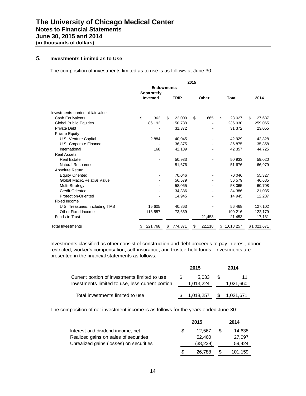# **5. Investments Limited as to Use**

The composition of investments limited as to use is as follows at June 30:

| 2015                               |    |                        |    |             |    |        |    |           |    |             |
|------------------------------------|----|------------------------|----|-------------|----|--------|----|-----------|----|-------------|
|                                    |    | <b>Endowments</b>      |    |             |    |        |    |           |    |             |
|                                    |    | Separately<br>Invested |    | <b>TRIP</b> |    | Other  |    | Total     |    | 2014        |
| Investments carried at fair value: |    |                        |    |             |    |        |    |           |    |             |
| Cash Equivalents                   | \$ | 362                    | \$ | 22,000      | \$ | 665    | \$ | 23,027    | \$ | 27,687      |
| <b>Global Public Equities</b>      |    | 86,192                 |    | 150,738     |    |        |    | 236,930   |    | 259,065     |
| <b>Private Debt</b>                |    |                        |    | 31,372      |    |        |    | 31,372    |    | 23,055      |
| <b>Private Equity</b>              |    |                        |    |             |    |        |    |           |    |             |
| U.S. Venture Capital               |    | 2,884                  |    | 40,045      |    |        |    | 42,929    |    | 42,828      |
| U.S. Corporate Finance             |    |                        |    | 36,875      |    |        |    | 36,875    |    | 35,858      |
| International                      |    | 168                    |    | 42,189      |    |        |    | 42,357    |    | 44,725      |
| <b>Real Assets</b>                 |    |                        |    |             |    |        |    |           |    |             |
| <b>Real Estate</b>                 |    |                        |    | 50,933      |    |        |    | 50,933    |    | 59,020      |
| <b>Natural Resources</b>           |    |                        |    | 51,676      |    |        |    | 51,676    |    | 66,979      |
| Absolute Return                    |    |                        |    |             |    |        |    |           |    |             |
| <b>Equity Oriented</b>             |    |                        |    | 70,046      |    |        |    | 70,046    |    | 55,327      |
| Global Macro/Relative Value        |    |                        |    | 56,579      |    |        |    | 56,579    |    | 46,685      |
| Multi-Strategy                     |    |                        |    | 58,065      |    |        |    | 58,065    |    | 60,708      |
| Credit-Oriented                    |    |                        |    | 34,386      |    |        |    | 34,386    |    | 21,035      |
| <b>Protection-Oriented</b>         |    |                        |    | 14,945      |    |        |    | 14,945    |    | 12,287      |
| <b>Fixed Income</b>                |    |                        |    |             |    |        |    |           |    |             |
| U.S. Treasuries, including TIPS    |    | 15,605                 |    | 40,863      |    |        |    | 56,468    |    | 127,102     |
| Other Fixed Income                 |    | 116,557                |    | 73,659      |    |        |    | 190,216   |    | 122,179     |
| <b>Funds in Trust</b>              |    |                        |    |             |    | 21,453 |    | 21,453    |    | 17,131      |
| Total Investments                  | \$ | 221,768                | \$ | 774,371     | \$ | 22,118 | \$ | 1,018,257 |    | \$1,021,671 |

Investments classified as other consist of construction and debt proceeds to pay interest, donor restricted, worker's compensation, self-insurance, and trustee-held funds. Investments are presented in the financial statements as follows:

|                                                                                                   |  | 2015               |     | 2014         |
|---------------------------------------------------------------------------------------------------|--|--------------------|-----|--------------|
| Current portion of investments limited to use<br>Investments limited to use, less current portion |  | 5.033<br>1,013,224 | \$. | 1,021,660    |
| Total investments limited to use                                                                  |  | 1.018.257          |     | \$ 1,021,671 |

The composition of net investment income is as follows for the years ended June 30:

|                                         |     | 2015      |    | 2014    |
|-----------------------------------------|-----|-----------|----|---------|
| Interest and dividend income, net       | \$. | 12.567    | S. | 14.638  |
| Realized gains on sales of securities   |     | 52.460    |    | 27.097  |
| Unrealized gains (losses) on securities |     | (38, 239) |    | 59,424  |
|                                         | \$. | 26,788    |    | 101,159 |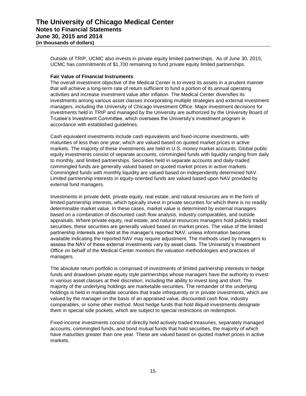Outside of TRIP, UCMC also invests in private equity limited partnerships. As of June 30, 2015, UCMC has commitments of \$1,700 remaining to fund private equity limited partnerships.

## **Fair Value of Financial Instruments**

The overall investment objective of the Medical Center is to invest its assets in a prudent manner that will achieve a long-term rate of return sufficient to fund a portion of its annual operating activities and increase investment value after inflation. The Medical Center diversifies its investments among various asset classes incorporating multiple strategies and external investment managers, including the University of Chicago Investment Office. Major investment decisions for investments held in TRIP and managed by the University are authorized by the University Board of Trustee's Investment Committee, which oversees the University's investment program in accordance with established guidelines.

Cash equivalent investments include cash equivalents and fixed-income investments, with maturities of less than one year, which are valued based on quoted market prices in active markets. The majority of these investments are held in U.S. money market accounts. Global public equity investments consist of separate accounts, commingled funds with liquidity ranging from daily to monthly, and limited partnerships. Securities held in separate accounts and daily-traded commingled funds are generally valued based on quoted market prices in active markets. Commingled funds with monthly liquidity are valued based on independently determined NAV. Limited partnership interests in equity-oriented funds are valued based upon NAV provided by external fund managers.

Investments in private debt, private equity, real estate, and natural resources are in the form of limited partnership interests, which typically invest in private securities for which there is no readily determinable market value. In these cases, market value is determined by external managers based on a combination of discounted cash flow analysis, industry comparables, and outside appraisals. Where private equity, real estate, and natural resources managers hold publicly traded securities, these securities are generally valued based on market prices. The value of the limited partnership interests are held at the manager's reported NAV, unless information becomes available indicating the reported NAV may require adjustment. The methods used by managers to assess the NAV of these external investments vary by asset class. The University's Investment Office on behalf of the Medical Center monitors the valuation methodologies and practices of managers.

The absolute return portfolio is comprised of investments of limited partnership interests in hedge funds and drawdown private equity style partnerships whose managers have the authority to invest in various asset classes at their discretion, including the ability to invest long and short. The majority of the underlying holdings are marketable securities. The remainder of the underlying holdings is held in marketable securities that trade infrequently or in private investments, which are valued by the manager on the basis of an appraised value, discounted cash flow, industry comparables, or some other method. Most hedge funds that hold illiquid investments designate them in special side pockets, which are subject to special restrictions on redemption.

Fixed-income investments consist of directly held actively traded treasuries, separately managed accounts, commingled funds, and bond mutual funds that hold securities, the majority of which have maturities greater than one year. These are valued based on quoted market prices in active markets.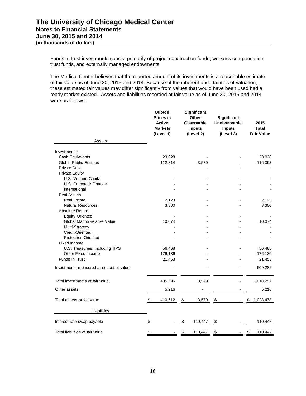Funds in trust investments consist primarily of project construction funds, worker's compensation trust funds, and externally managed endowments.

The Medical Center believes that the reported amount of its investments is a reasonable estimate of fair value as of June 30, 2015 and 2014. Because of the inherent uncertainties of valuation, these estimated fair values may differ significantly from values that would have been used had a ready market existed. Assets and liabilities recorded at fair value as of June 30, 2015 and 2014 were as follows:

|                                         | Quoted<br><b>Prices in</b><br><b>Active</b><br><b>Markets</b><br>(Level 1) |                   | Significant<br>Other<br>Observable<br>Inputs<br>(Level 2) | Significant<br>Unobservable<br><b>Inputs</b><br>(Level 3) | 2015<br>Total<br><b>Fair Value</b> |
|-----------------------------------------|----------------------------------------------------------------------------|-------------------|-----------------------------------------------------------|-----------------------------------------------------------|------------------------------------|
| Assets                                  |                                                                            |                   |                                                           |                                                           |                                    |
| Investments:                            |                                                                            |                   |                                                           |                                                           |                                    |
| Cash Equivalents                        | 23,028                                                                     |                   |                                                           |                                                           | 23,028                             |
| <b>Global Public Equities</b>           | 112,814                                                                    |                   | 3,579                                                     |                                                           | 116,393                            |
| <b>Private Debt</b>                     |                                                                            |                   |                                                           |                                                           |                                    |
| <b>Private Equity</b>                   |                                                                            |                   |                                                           |                                                           |                                    |
| U.S. Venture Capital                    |                                                                            |                   |                                                           |                                                           |                                    |
| U.S. Corporate Finance                  |                                                                            |                   |                                                           |                                                           |                                    |
| International                           |                                                                            |                   |                                                           |                                                           |                                    |
| <b>Real Assets</b>                      |                                                                            |                   |                                                           |                                                           |                                    |
| <b>Real Estate</b>                      | 2,123                                                                      |                   |                                                           |                                                           | 2,123                              |
| <b>Natural Resources</b>                | 3,300                                                                      |                   |                                                           |                                                           | 3,300                              |
| Absolute Return                         |                                                                            |                   |                                                           |                                                           |                                    |
| <b>Equity Oriented</b>                  |                                                                            |                   |                                                           |                                                           |                                    |
| Global Macro/Relative Value             | 10,074                                                                     |                   |                                                           |                                                           | 10,074                             |
| Multi-Strategy                          |                                                                            |                   |                                                           |                                                           |                                    |
| Credit-Oriented                         |                                                                            |                   |                                                           |                                                           |                                    |
| <b>Protection-Oriented</b>              |                                                                            |                   |                                                           |                                                           |                                    |
| Fixed Income                            |                                                                            |                   |                                                           |                                                           |                                    |
| U.S. Treasuries, including TIPS         | 56,468                                                                     |                   |                                                           |                                                           | 56,468                             |
| Other Fixed Income                      | 176,136                                                                    |                   |                                                           |                                                           | 176,136                            |
| Funds in Trust                          | 21,453                                                                     |                   |                                                           |                                                           | 21,453                             |
| Investments measured at net asset value |                                                                            |                   |                                                           |                                                           | 609,282                            |
| Total investments at fair value         | 405,396                                                                    |                   | 3,579                                                     |                                                           | 1,018,257                          |
| Other assets                            | 5,216                                                                      |                   |                                                           |                                                           | 5,216                              |
|                                         |                                                                            |                   |                                                           |                                                           |                                    |
| Total assets at fair value              | \$<br>410,612                                                              | \$                | 3,579                                                     | $\frac{1}{2}$                                             | \$<br>1,023,473                    |
| Liabilities                             |                                                                            |                   |                                                           |                                                           |                                    |
| Interest rate swap payable              | \$                                                                         | \$                | 110,447                                                   | \$                                                        | 110,447                            |
| Total liabilities at fair value         | \$                                                                         | $\boldsymbol{\$}$ | 110,447                                                   | \$                                                        | \$<br>110,447                      |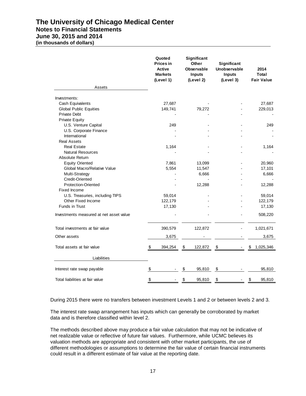# **The University of Chicago Medical Center Notes to Financial Statements**

# **June 30, 2015 and 2014 (in thousands of dollars)**

|                                         | Quoted<br><b>Prices in</b><br>Active<br><b>Markets</b><br>(Level 1) | Significant<br>Other<br><b>Observable</b><br><b>Inputs</b><br>(Level 2) | Significant<br>Unobservable<br><b>Inputs</b><br>(Level 3) | 2014<br>Total<br><b>Fair Value</b> |
|-----------------------------------------|---------------------------------------------------------------------|-------------------------------------------------------------------------|-----------------------------------------------------------|------------------------------------|
| Assets                                  |                                                                     |                                                                         |                                                           |                                    |
| Investments:                            |                                                                     |                                                                         |                                                           |                                    |
| Cash Equivalents                        | 27,687                                                              |                                                                         |                                                           | 27,687                             |
| <b>Global Public Equities</b>           | 149,741                                                             | 79,272                                                                  |                                                           | 229,013                            |
| <b>Private Debt</b>                     |                                                                     |                                                                         |                                                           |                                    |
| <b>Private Equity</b>                   |                                                                     |                                                                         |                                                           |                                    |
| U.S. Venture Capital                    | 249                                                                 |                                                                         |                                                           | 249                                |
| U.S. Corporate Finance                  |                                                                     |                                                                         |                                                           |                                    |
| International                           |                                                                     |                                                                         |                                                           |                                    |
| <b>Real Assets</b>                      |                                                                     |                                                                         |                                                           |                                    |
| <b>Real Estate</b>                      | 1,164                                                               |                                                                         |                                                           | 1,164                              |
| <b>Natural Resources</b>                |                                                                     |                                                                         |                                                           |                                    |
| Absolute Return                         |                                                                     |                                                                         |                                                           |                                    |
| <b>Equity Oriented</b>                  | 7,861                                                               | 13,099                                                                  |                                                           | 20,960                             |
| Global Macro/Relative Value             | 5,554                                                               | 11,547                                                                  |                                                           | 17,101                             |
| Multi-Strategy                          |                                                                     | 6,666                                                                   |                                                           | 6,666                              |
| <b>Credit-Oriented</b>                  |                                                                     |                                                                         |                                                           |                                    |
| <b>Protection-Oriented</b>              |                                                                     | 12,288                                                                  |                                                           | 12,288                             |
| Fixed Income                            |                                                                     |                                                                         |                                                           |                                    |
| U.S. Treasuries, including TIPS         | 59,014                                                              |                                                                         |                                                           | 59,014                             |
| Other Fixed Income                      | 122,179                                                             |                                                                         |                                                           | 122,179                            |
| Funds in Trust                          | 17,130                                                              |                                                                         |                                                           | 17,130                             |
| Investments measured at net asset value |                                                                     |                                                                         |                                                           | 508,220                            |
| Total investments at fair value         | 390,579                                                             | 122,872                                                                 |                                                           | 1,021,671                          |
| Other assets                            | 3,675                                                               |                                                                         |                                                           | 3,675                              |
| Total assets at fair value              | 394,254<br>S                                                        | \$<br>122,872                                                           | \$                                                        | \$<br>1,025,346                    |
| Liabilities                             |                                                                     |                                                                         |                                                           |                                    |
| Interest rate swap payable              | \$                                                                  | \$<br>95,810                                                            | \$                                                        | 95,810                             |
| Total liabilities at fair value         | \$                                                                  | \$<br>95,810                                                            | $\boldsymbol{\mathsf{S}}$                                 | 95,810<br>\$                       |

During 2015 there were no transfers between investment Levels 1 and 2 or between levels 2 and 3.

The interest rate swap arrangement has inputs which can generally be corroborated by market data and is therefore classified within level 2.

The methods described above may produce a fair value calculation that may not be indicative of net realizable value or reflective of future fair values. Furthermore, while UCMC believes its valuation methods are appropriate and consistent with other market participants, the use of different methodologies or assumptions to determine the fair value of certain financial instruments could result in a different estimate of fair value at the reporting date.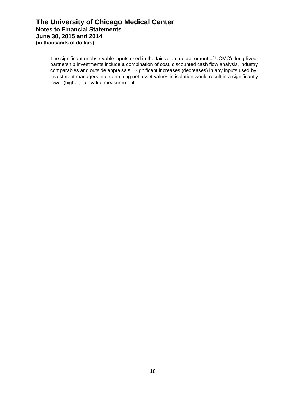The significant unobservable inputs used in the fair value measurement of UCMC's long-lived partnership investments include a combination of cost, discounted cash flow analysis, industry comparables and outside appraisals. Significant increases (decreases) in any inputs used by investment managers in determining net asset values in isolation would result in a significantly lower (higher) fair value measurement.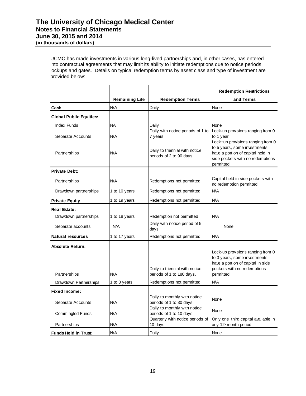UCMC has made investments in various long-lived partnerships and, in other cases, has entered into contractual agreements that may limit its ability to initiate redemptions due to notice periods, lockups and gates. Details on typical redemption terms by asset class and type of investment are provided below:

|                                              |                       |                                                             | <b>Redemption Restrictions</b>                                                                                                                          |
|----------------------------------------------|-----------------------|-------------------------------------------------------------|---------------------------------------------------------------------------------------------------------------------------------------------------------|
|                                              | <b>Remaining Life</b> | <b>Redemption Terms</b>                                     | and Terms                                                                                                                                               |
| Cash                                         | N/A                   | Daily                                                       | None                                                                                                                                                    |
| <b>Global Public Equities:</b>               |                       |                                                             |                                                                                                                                                         |
| <b>Index Funds</b>                           | NA                    | Daily                                                       | None                                                                                                                                                    |
| Separate Accounts                            | N/A                   | Daily with notice periods of 1 to<br>7 years                | Lock-up provisions ranging from 0<br>to 1 year                                                                                                          |
| Partnerships                                 | N/A                   | Daily to triennial with notice<br>periods of 2 to 90 days   | Lock-up provisions ranging from 0<br>to 5 years, some investments<br>have a portion of capital held in<br>side pockets with no redemptions<br>permitted |
| <b>Private Debt:</b>                         |                       |                                                             |                                                                                                                                                         |
| Partnerships                                 | N/A                   | Redemptions not permitted                                   | Capital held in side pockets with<br>no redemption permitted                                                                                            |
| Drawdown partnerships                        | 1 to 10 years         | Redemptions not permitted                                   | N/A                                                                                                                                                     |
| <b>Private Equity</b>                        | 1 to 19 years         | Redemptions not permitted                                   | N/A                                                                                                                                                     |
| <b>Real Estate:</b><br>Drawdown partnerships | 1 to 18 years         | Redemption not permitted                                    | N/A                                                                                                                                                     |
| Separate accounts                            | N/A                   | Daily with notice period of 5<br>days                       | None                                                                                                                                                    |
| <b>Natural resources</b>                     | 1 to 17 years         | Redemptions not permitted                                   | N/A                                                                                                                                                     |
| <b>Absolute Return:</b><br>Partnerships      | N/A                   | Daily to triennial with notice<br>periods of 1 to 180 days. | Lock-up provisions ranging from 0<br>to 3 years, some investments<br>have a portion of capital in side<br>pockets with no redemptions<br>permitted      |
| Drawdown Partnerships                        | 1 to 3 years          | Redemptions not permitted                                   | N/A                                                                                                                                                     |
| <b>Fixed Income:</b><br>Separate Accounts    | N/A                   | Daily to monthly with notice<br>periods of 1 to 30 days     | None                                                                                                                                                    |
| <b>Commingled Funds</b>                      | N/A                   | Daily to monthly with notice<br>periods of 1 to 10 days     | None                                                                                                                                                    |
| Partnerships                                 | N/A                   | Quarterly with notice periods of<br>10 days                 | Only one-third capital available in<br>any 12-month period                                                                                              |
| <b>Funds Held in Trust:</b>                  | N/A                   | Daily                                                       | None                                                                                                                                                    |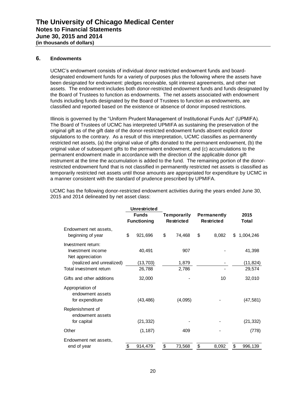## **6. Endowments**

UCMC's endowment consists of individual donor restricted endowment funds and boarddesignated endowment funds for a variety of purposes plus the following where the assets have been designated for endowment: pledges receivable, split interest agreements, and other net assets. The endowment includes both donor-restricted endowment funds and funds designated by the Board of Trustees to function as endowments. The net assets associated with endowment funds including funds designated by the Board of Trustees to function as endowments, are classified and reported based on the existence or absence of donor imposed restrictions.

Illinois is governed by the "Uniform Prudent Management of Institutional Funds Act" (UPMIFA). The Board of Trustees of UCMC has interpreted UPMIFA as sustaining the preservation of the original gift as of the gift date of the donor-restricted endowment funds absent explicit donor stipulations to the contrary. As a result of this interpretation, UCMC classifies as permanently restricted net assets, (a) the original value of gifts donated to the permanent endowment, (b) the original value of subsequent gifts to the permanent endowment, and (c) accumulations to the permanent endowment made in accordance with the direction of the applicable donor gift instrument at the time the accumulation is added to the fund. The remaining portion of the donorrestricted endowment fund that is not classified in permanently restricted net assets is classified as temporarily restricted net assets until those amounts are appropriated for expenditure by UCMC in a manner consistent with the standard of prudence prescribed by UPMIFA.

| UCMC has the following donor-restricted endowment activities during the years ended June 30, |
|----------------------------------------------------------------------------------------------|
| 2015 and 2014 delineated by net asset class:                                                 |

|                                                             | <b>Unrestricted</b>                |    |                                  |    |                                         |    |               |
|-------------------------------------------------------------|------------------------------------|----|----------------------------------|----|-----------------------------------------|----|---------------|
|                                                             | <b>Funds</b><br><b>Functioning</b> |    | Temporarily<br><b>Restricted</b> |    | <b>Permanently</b><br><b>Restricted</b> |    | 2015<br>Total |
| Endowment net assets,<br>beginning of year                  | \$<br>921,696                      | \$ | 74,468                           | \$ | 8,082                                   | \$ | 1,004,246     |
| Investment return:<br>Investment income<br>Net appreciation | 40,491                             |    | 907                              |    |                                         |    | 41,398        |
| (realized and unrealized)                                   | (13, 703)                          |    | 1,879                            |    |                                         |    | (11, 824)     |
| Total investment return                                     | 26,788                             |    | 2,786                            |    |                                         |    | 29,574        |
| Gifts and other additions                                   | 32,000                             |    |                                  |    | 10                                      |    | 32,010        |
| Appropriation of<br>endowment assets<br>for expenditure     | (43, 486)                          |    | (4,095)                          |    |                                         |    | (47, 581)     |
| Replenishment of<br>endowment assets<br>for capital         | (21, 332)                          |    |                                  |    |                                         |    | (21, 332)     |
| Other                                                       | (1, 187)                           |    | 409                              |    |                                         |    | (778)         |
|                                                             |                                    |    |                                  |    |                                         |    |               |
| Endowment net assets,                                       |                                    |    |                                  |    |                                         |    |               |
| end of year                                                 | \$<br>914,479                      | \$ | 73,568                           | \$ | 8,092                                   | \$ | 996,139       |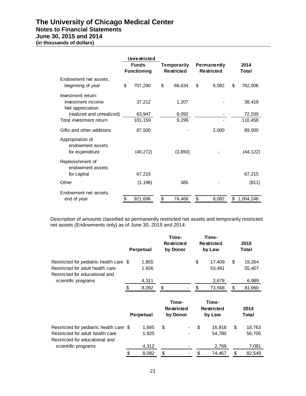# **The University of Chicago Medical Center Notes to Financial Statements**

# **June 30, 2015 and 2014**

**(in thousands of dollars)**

|                                                             | <b>Unrestricted</b><br><b>Funds</b><br><b>Functioning</b> |    | <b>Temporarily</b><br><b>Restricted</b> |    | <b>Permanently</b><br><b>Restricted</b> |    | 2014<br>Total     |
|-------------------------------------------------------------|-----------------------------------------------------------|----|-----------------------------------------|----|-----------------------------------------|----|-------------------|
| Endowment net assets,<br>beginning of year                  | \$<br>707,290                                             | \$ | 68,634                                  | \$ | 6,082                                   | \$ | 782,006           |
| Investment return:<br>Investment income<br>Net appreciation | 37,212                                                    |    | 1,207                                   |    |                                         |    | 38,419            |
| (realized and unrealized)<br>Total investment return        | 63,947<br>101,159                                         |    | 8,092<br>9,299                          |    |                                         |    | 72,039<br>110,458 |
| Gifts and other additions                                   | 87,500                                                    |    |                                         |    | 2,000                                   |    | 89,500            |
| Appropriation of<br>endowment assets<br>for expenditure     | (40, 272)                                                 |    | (3,850)                                 |    |                                         |    | (44, 122)         |
| Replenishment of<br>endowment assets<br>for capital         | 67,215                                                    |    |                                         |    |                                         |    | 67,215            |
| Other                                                       | (1, 196)                                                  |    | 385                                     |    |                                         |    | (811)             |
| Endowment net assets,<br>end of year                        | \$<br>921,696                                             | \$ | 74,468                                  | \$ | 8,082                                   | \$ | 1,004,246         |

Description of amounts classified as permanently restricted net assets and temporarily restricted net assets (Endowments only) as of June 30, 2015 and 2014:

|                                                                                                                                      | <b>Perpetual</b>        | Time-<br><b>Restricted</b><br>by Donor |       | Time-<br><b>Restricted</b><br>by Law | 2015<br>Total                   |
|--------------------------------------------------------------------------------------------------------------------------------------|-------------------------|----------------------------------------|-------|--------------------------------------|---------------------------------|
| Restricted for pediatric health care \$<br>Restricted for adult health care<br>Restricted for educational and                        | 1,855<br>1,926          |                                        |       | \$<br>17,409<br>53,481               | \$<br>19,264<br>55,407          |
| scientific programs                                                                                                                  | 4,311                   |                                        |       | 2,678                                | 6,989                           |
|                                                                                                                                      | \$<br>8,092             | \$                                     |       | \$<br>73,568                         | \$<br>81,660                    |
|                                                                                                                                      | Perpetual               | <b>Restricted</b><br>by Donor          | Time- | Time-<br><b>Restricted</b><br>by Law | 2014<br>Total                   |
| Restricted for pediatric health care \$<br>Restricted for adult health care<br>Restricted for educational and<br>scientific programs | 1,845<br>1,925<br>4,312 | \$                                     |       | \$<br>16,918<br>54,780<br>2,769      | \$<br>18,763<br>56,705<br>7,081 |
|                                                                                                                                      | \$<br>8,082             | \$                                     |       | \$<br>74,467                         | \$<br>82,549                    |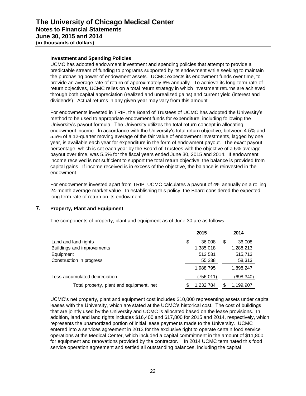## **Investment and Spending Policies**

UCMC has adopted endowment investment and spending policies that attempt to provide a predictable stream of funding to programs supported by its endowment while seeking to maintain the purchasing power of endowment assets. UCMC expects its endowment funds over time, to provide an average rate of return of approximately 6% annually. To achieve its long-term rate of return objectives, UCMC relies on a total return strategy in which investment returns are achieved through both capital appreciation (realized and unrealized gains) and current yield (interest and dividends). Actual returns in any given year may vary from this amount.

For endowments invested in TRIP, the Board of Trustees of UCMC has adopted the University's method to be used to appropriate endowment funds for expenditure, including following the University's payout formula. The University utilizes the total return concept in allocating endowment income. In accordance with the University's total return objective, between 4.5% and 5.5% of a 12-quarter moving average of the fair value of endowment investments, lagged by one year, is available each year for expenditure in the form of endowment payout. The exact payout percentage, which is set each year by the Board of Trustees with the objective of a 5% average payout over time, was 5.5% for the fiscal years ended June 30, 2015 and 2014. If endowment income received is not sufficient to support the total return objective, the balance is provided from capital gains. If income received is in excess of the objective, the balance is reinvested in the endowment.

For endowments invested apart from TRIP, UCMC calculates a payout of 4% annually on a rolling 24-month average market value. In establishing this policy, the Board considered the expected long term rate of return on its endowment.

# **7. Property, Plant and Equipment**

The components of property, plant and equipment as of June 30 are as follows:

|                                          | 2015         | 2014       |
|------------------------------------------|--------------|------------|
| Land and land rights                     | \$<br>36,008 | 36,008     |
| Buildings and improvements               | 1,385,018    | 1,288,213  |
| Equipment                                | 512,531      | 515,713    |
| Construction in progress                 | 55,238       | 58,313     |
|                                          | 1,988,795    | 1,898,247  |
| Less accumulated depreciation            | (756,011)    | (698, 340) |
| Total property, plant and equipment, net | 1,232,784    | 1,199,907  |

UCMC's net property, plant and equipment cost includes \$10,000 representing assets under capital leases with the University, which are stated at the UCMC's historical cost. The cost of buildings that are jointly used by the University and UCMC is allocated based on the lease provisions. In addition, land and land rights includes \$16,400 and \$17,800 for 2015 and 2014, respectively, which represents the unamortized portion of initial lease payments made to the University. UCMC entered into a services agreement in 2013 for the exclusive right to operate certain food service operations at the Medical Center, which included a capital commitment in the amount of \$11,800 for equipment and renovations provided by the contractor. In 2014 UCMC terminated this food service operation agreement and settled all outstanding balances, including the capital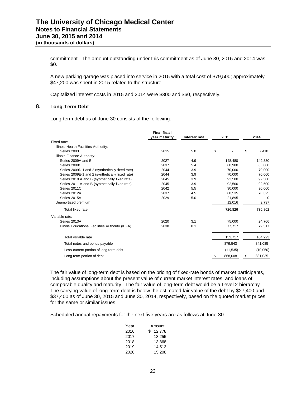commitment. The amount outstanding under this commitment as of June 30, 2015 and 2014 was \$0.

A new parking garage was placed into service in 2015 with a total cost of \$79,500; approximately \$47,200 was spent in 2015 related to the structure.

Capitalized interest costs in 2015 and 2014 were \$300 and \$60, respectively.

## **8. Long-Term Debt**

Long-term debt as of June 30 consists of the following:

|                                                  | <b>Final fiscal</b> |               |      |           |      |          |
|--------------------------------------------------|---------------------|---------------|------|-----------|------|----------|
|                                                  | year maturity       | Interest rate | 2015 |           | 2014 |          |
| Fixed rate:                                      |                     |               |      |           |      |          |
| Illinois Health Facilities Authority:            |                     |               |      |           |      |          |
| Series 2003                                      | 2015                | 5.0           | \$   |           | \$   | 7,410    |
| Illinois Finance Authority:                      |                     |               |      |           |      |          |
| Series 2009A and B                               | 2027                | 4.9           |      | 148,480   |      | 149,330  |
| Series 2009C                                     | 2037                | 5.4           |      | 60,900    |      | 85,000   |
| Series 2009D-1 and 2 (synthetically fixed rate)  | 2044                | 3.9           |      | 70.000    |      | 70.000   |
| Series 2009E-1 and 2 (synthetically fixed rate)  | 2044                | 3.9           |      | 70,000    |      | 70,000   |
| Series 2010 A and B (synthetically fixed rate)   | 2045                | 3.9           |      | 92.500    |      | 92.500   |
| Series 2011 A and B (synthetically fixed rate)   | 2045                | 3.9           |      | 92,500    |      | 92,500   |
| Series 2011C                                     | 2042                | 5.5           |      | 90,000    |      | 90,000   |
| Series 2012A                                     | 2037                | 4.5           |      | 68,535    |      | 70,325   |
| Series 2015A                                     | 2029                | 5.0           |      | 21,895    |      | $\Omega$ |
| Unamortized premium                              |                     |               |      | 12,016    |      | 9,797    |
| Total fixed rate                                 |                     |               |      | 726,826   |      | 736,862  |
| Variable rate:                                   |                     |               |      |           |      |          |
| Series 2013A                                     | 2020                | 3.1           |      | 75,000    |      | 24,706   |
| Illinois Educational Facilities Authority (IEFA) | 2038                | 0.1           |      | 77,717    |      | 79,517   |
| Total variable rate                              |                     |               |      | 152,717   |      | 104,223  |
| Total notes and bonds payable                    |                     |               |      | 879,543   |      | 841,085  |
| Less current portion of long-term debt           |                     |               |      | (11, 535) |      | (10,050) |
| Long-term portion of debt                        |                     |               |      | 868,008   | \$   | 831,035  |

The fair value of long-term debt is based on the pricing of fixed-rate bonds of market participants, including assumptions about the present value of current market interest rates, and loans of comparable quality and maturity. The fair value of long-term debt would be a Level 2 hierarchy. The carrying value of long-term debt is below the estimated fair value of the debt by \$27,400 and \$37,400 as of June 30, 2015 and June 30, 2014, respectively, based on the quoted market prices for the same or similar issues.

Scheduled annual repayments for the next five years are as follows at June 30:

| <u>Year</u> | Amount       |
|-------------|--------------|
| 2016        | 12,778<br>S. |
| 2017        | 13,255       |
| 2018        | 13.868       |
| 2019        | 14.513       |
| 2020        | 15.208       |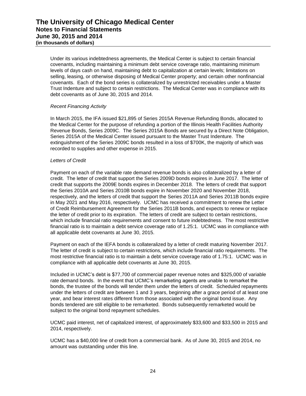Under its various indebtedness agreements, the Medical Center is subject to certain financial covenants, including maintaining a minimum debt service coverage ratio, maintaining minimum levels of days cash on hand, maintaining debt to capitalization at certain levels; limitations on selling, leasing, or otherwise disposing of Medical Center property; and certain other nonfinancial covenants. Each of the bond series is collateralized by unrestricted receivables under a Master Trust Indenture and subject to certain restrictions. The Medical Center was in compliance with its debt covenants as of June 30, 2015 and 2014.

# *Recent Financing Activity*

In March 2015, the IFA issued \$21,895 of Series 2015A Revenue Refunding Bonds, allocated to the Medical Center for the purpose of refunding a portion of the Illinois Health Facilities Authority Revenue Bonds, Series 2009C. The Series 2015A Bonds are secured by a Direct Note Obligation, Series 2015A of the Medical Center issued pursuant to the Master Trust Indenture. The extinguishment of the Series 2009C bonds resulted in a loss of \$700K, the majority of which was recorded to supplies and other expense in 2015.

## *Letters of Credit*

Payment on each of the variable rate demand revenue bonds is also collateralized by a letter of credit. The letter of credit that support the Series 2009D bonds expires in June 2017. The letter of credit that supports the 2009E bonds expires in December 2018. The letters of credit that support the Series 2010A and Series 2010B bonds expire in November 2020 and November 2018, respectively, and the letters of credit that support the Series 2011A and Series 2011B bonds expire in May 2021 and May 2016, respectively. UCMC has received a commitment to renew the Letter of Credit Reimbursement Agreement for the Series 2011B bonds, and expects to renew or replace the letter of credit prior to its expiration. The letters of credit are subject to certain restrictions, which include financial ratio requirements and consent to future indebtedness. The most restrictive financial ratio is to maintain a debt service coverage ratio of 1.25:1. UCMC was in compliance with all applicable debt covenants at June 30, 2015.

Payment on each of the IEFA bonds is collateralized by a letter of credit maturing November 2017. The letter of credit is subject to certain restrictions, which include financial ratio requirements. The most restrictive financial ratio is to maintain a debt service coverage ratio of 1.75:1. UCMC was in compliance with all applicable debt covenants at June 30, 2015.

Included in UCMC's debt is \$77,700 of commercial paper revenue notes and \$325,000 of variable rate demand bonds. In the event that UCMC's remarketing agents are unable to remarket the bonds, the trustee of the bonds will tender them under the letters of credit. Scheduled repayments under the letters of credit are between 1 and 3 years, beginning after a grace period of at least one year, and bear interest rates different from those associated with the original bond issue. Any bonds tendered are still eligible to be remarketed. Bonds subsequently remarketed would be subject to the original bond repayment schedules.

UCMC paid interest, net of capitalized interest, of approximately \$33,600 and \$33,500 in 2015 and 2014, respectively.

UCMC has a \$40,000 line of credit from a commercial bank. As of June 30, 2015 and 2014, no amount was outstanding under this line.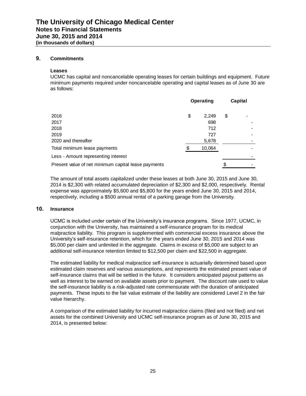## **9. Commitments**

#### **Leases**

UCMC has capital and noncancelable operating leases for certain buildings and equipment. Future minimum payments required under noncancelable operating and capital leases as of June 30 are as follows:

|                                                     | <b>Operating</b> | Capital |   |  |
|-----------------------------------------------------|------------------|---------|---|--|
| 2016                                                | \$<br>2,249      | \$      | ۰ |  |
| 2017                                                | 698              |         |   |  |
| 2018                                                | 712              |         |   |  |
| 2019                                                | 727              |         |   |  |
| 2020 and thereafter                                 | 5,678            |         |   |  |
| Total minimum lease payments                        | 10,064           |         |   |  |
| Less - Amount representing interest                 |                  |         |   |  |
| Present value of net minimum capital lease payments |                  | S       |   |  |

The amount of total assets capitalized under these leases at both June 30, 2015 and June 30, 2014 is \$2,300 with related accumulated depreciation of \$2,300 and \$2,000, respectively. Rental expense was approximately \$5,600 and \$5,800 for the years ended June 30, 2015 and 2014, respectively, including a \$500 annual rental of a parking garage from the University.

## **10. Insurance**

UCMC is included under certain of the University's insurance programs. Since 1977, UCMC, in conjunction with the University, has maintained a self-insurance program for its medical malpractice liability. This program is supplemented with commercial excess insurance above the University's self-insurance retention, which for the years ended June 30, 2015 and 2014 was \$5,000 per claim and unlimited in the aggregate. Claims in excess of \$5,000 are subject to an additional self-insurance retention limited to \$12,500 per claim and \$22,500 in aggregate.

The estimated liability for medical malpractice self-insurance is actuarially determined based upon estimated claim reserves and various assumptions, and represents the estimated present value of self-insurance claims that will be settled in the future. It considers anticipated payout patterns as well as interest to be earned on available assets prior to payment. The discount rate used to value the self-insurance liability is a risk-adjusted rate commensurate with the duration of anticipated payments. These inputs to the fair value estimate of the liability are considered Level 2 in the fair value hierarchy.

A comparison of the estimated liability for incurred malpractice claims (filed and not filed) and net assets for the combined University and UCMC self-insurance program as of June 30, 2015 and 2014, is presented below: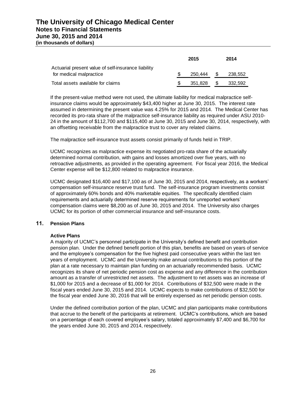|                                                     | 2015    |      | 2014    |
|-----------------------------------------------------|---------|------|---------|
| Actuarial present value of self-insurance liability |         |      |         |
| for medical malpractice                             | 250.444 | - \$ | 238,552 |
| Total assets available for claims                   | 351.828 | - \$ | 332.592 |

If the present-value method were not used, the ultimate liability for medical malpractice selfinsurance claims would be approximately \$43,400 higher at June 30, 2015. The interest rate assumed in determining the present value was 4.25% for 2015 and 2014. The Medical Center has recorded its pro-rata share of the malpractice self-insurance liability as required under ASU 2010- 24 in the amount of \$112,700 and \$115,400 at June 30, 2015 and June 30, 2014, respectively, with an offsetting receivable from the malpractice trust to cover any related claims.

The malpractice self-insurance trust assets consist primarily of funds held in TRIP.

UCMC recognizes as malpractice expense its negotiated pro-rata share of the actuarially determined normal contribution, with gains and losses amortized over five years, with no retroactive adjustments, as provided in the operating agreement. For fiscal year 2016, the Medical Center expense will be \$12,800 related to malpractice insurance.

UCMC designated \$16,400 and \$17,100 as of June 30, 2015 and 2014, respectively, as a workers' compensation self-insurance reserve trust fund. The self-insurance program investments consist of approximately 60% bonds and 40% marketable equities. The specifically identified claim requirements and actuarially determined reserve requirements for unreported workers' compensation claims were \$8,200 as of June 30, 2015 and 2014. The University also charges UCMC for its portion of other commercial insurance and self-insurance costs.

# **11. Pension Plans**

## **Active Plans**

A majority of UCMC's personnel participate in the University's defined benefit and contribution pension plan. Under the defined benefit portion of this plan, benefits are based on years of service and the employee's compensation for the five highest paid consecutive years within the last ten years of employment. UCMC and the University make annual contributions to this portion of the plan at a rate necessary to maintain plan funding on an actuarially recommended basis. UCMC recognizes its share of net periodic pension cost as expense and any difference in the contribution amount as a transfer of unrestricted net assets. The adjustment to net assets was an increase of \$1,000 for 2015 and a decrease of \$1,000 for 2014. Contributions of \$32,500 were made in the fiscal years ended June 30, 2015 and 2014. UCMC expects to make contributions of \$32,500 for the fiscal year ended June 30, 2016 that will be entirely expensed as net periodic pension costs.

Under the defined contribution portion of the plan, UCMC and plan participants make contributions that accrue to the benefit of the participants at retirement. UCMC's contributions, which are based on a percentage of each covered employee's salary, totaled approximately \$7,400 and \$6,700 for the years ended June 30, 2015 and 2014, respectively.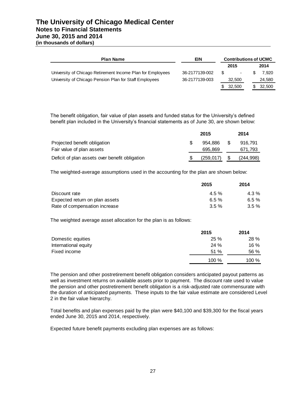# **The University of Chicago Medical Center Notes to Financial Statements June 30, 2015 and 2014 (in thousands of dollars)**

| <b>Plan Name</b>                                           | EIN            | <b>Contributions of UCMC</b> |                          |  |        |  |
|------------------------------------------------------------|----------------|------------------------------|--------------------------|--|--------|--|
|                                                            |                |                              | 2015                     |  | 2014   |  |
| University of Chicago Retirement Income Plan for Employees | 36-2177139-002 | -SS                          | $\overline{\phantom{a}}$ |  | 7.920  |  |
| University of Chicago Pension Plan for Staff Employees     | 36-2177139-003 |                              | 32,500                   |  | 24.580 |  |
|                                                            |                | S.                           | 32,500                   |  | 32,500 |  |

The benefit obligation, fair value of plan assets and funded status for the University's defined benefit plan included in the University's financial statements as of June 30, are shown below:

|                                                | 2015 |            |  | 2014       |
|------------------------------------------------|------|------------|--|------------|
| Projected benefit obligation                   |      | 954.886    |  | 916.791    |
| Fair value of plan assets                      |      | 695.869    |  | 671,793    |
| Deficit of plan assets over benefit obligation |      | (259, 017) |  | (244, 998) |

The weighted-average assumptions used in the accounting for the plan are shown below:

|                                | 2015    | 2014     |
|--------------------------------|---------|----------|
| Discount rate                  | $4.5\%$ | 4.3 %    |
| Expected return on plan assets | 6.5%    | 6.5 $%$  |
| Rate of compensation increase  | $3.5\%$ | $3.5 \%$ |

The weighted average asset allocation for the plan is as follows:

|                      | 2015  | 2014  |  |
|----------------------|-------|-------|--|
| Domestic equities    | 25%   | 28 %  |  |
| International equity | 24%   | 16 %  |  |
| Fixed income         | 51%   | 56 %  |  |
|                      | 100 % | 100 % |  |

The pension and other postretirement benefit obligation considers anticipated payout patterns as well as investment returns on available assets prior to payment. The discount rate used to value the pension and other postretirement benefit obligation is a risk-adjusted rate commensurate with the duration of anticipated payments. These inputs to the fair value estimate are considered Level 2 in the fair value hierarchy.

Total benefits and plan expenses paid by the plan were \$40,100 and \$39,300 for the fiscal years ended June 30, 2015 and 2014, respectively.

Expected future benefit payments excluding plan expenses are as follows: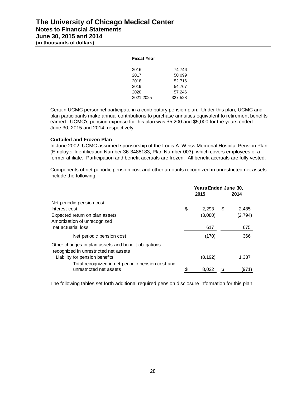| <b>Fiscal Year</b> |         |
|--------------------|---------|
| 2016               | 74.746  |
| 2017               | 50.099  |
| 2018               | 52,716  |
| 2019               | 54.767  |
| 2020               | 57,246  |
| 2021-2025          | 327,528 |
|                    |         |

Certain UCMC personnel participate in a contributory pension plan. Under this plan, UCMC and plan participants make annual contributions to purchase annuities equivalent to retirement benefits earned. UCMC's pension expense for this plan was \$5,200 and \$5,000 for the years ended June 30, 2015 and 2014, respectively.

## **Curtailed and Frozen Plan**

In June 2002, UCMC assumed sponsorship of the Louis A. Weiss Memorial Hospital Pension Plan (Employer Identification Number 36-3488183, Plan Number 003), which covers employees of a former affiliate. Participation and benefit accruals are frozen. All benefit accruals are fully vested.

Components of net periodic pension cost and other amounts recognized in unrestricted net assets include the following:

|                                                                                               | 2015        | <b>Years Ended June 30,</b><br>2014 |         |
|-----------------------------------------------------------------------------------------------|-------------|-------------------------------------|---------|
| Net periodic pension cost                                                                     |             |                                     |         |
| Interest cost                                                                                 | \$<br>2.293 | S                                   | 2.485   |
| Expected return on plan assets                                                                | (3,080)     |                                     | (2,794) |
| Amortization of unrecognized                                                                  |             |                                     |         |
| net actuarial loss                                                                            | 617         |                                     | 675     |
| Net periodic pension cost                                                                     | (170)       |                                     | 366     |
| Other changes in plan assets and benefit obligations<br>recognized in unrestricted net assets |             |                                     |         |
| Liability for pension benefits                                                                | (8, 192)    |                                     | 1.337   |
| Total recognized in net periodic pension cost and                                             |             |                                     |         |
| unrestricted net assets                                                                       | \$<br>8,022 |                                     | (971)   |

The following tables set forth additional required pension disclosure information for this plan: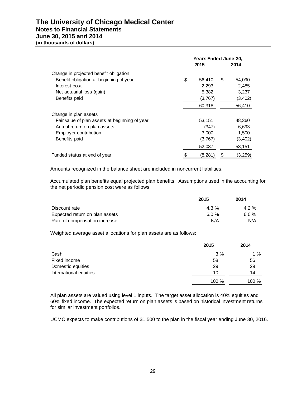# **The University of Chicago Medical Center Notes to Financial Statements June 30, 2015 and 2014**

**(in thousands of dollars)**

|                                                | 2015           | <b>Years Ended June 30,</b><br>2014 |          |  |
|------------------------------------------------|----------------|-------------------------------------|----------|--|
| Change in projected benefit obligation         |                |                                     |          |  |
| Benefit obligation at beginning of year        | \$<br>56,410   | S                                   | 54,090   |  |
| Interest cost                                  | 2,293          |                                     | 2,485    |  |
| Net actuarial loss (gain)                      | 5,382          |                                     | 3,237    |  |
| Benefits paid                                  | (3,767)        |                                     | (3, 402) |  |
|                                                | 60,318         |                                     | 56,410   |  |
| Change in plan assets                          |                |                                     |          |  |
| Fair value of plan assets at beginning of year | 53,151         |                                     | 48,360   |  |
| Actual return on plan assets                   | (347)          |                                     | 6,693    |  |
| Employer contribution                          | 3,000          |                                     | 1,500    |  |
| Benefits paid                                  | (3,767)        |                                     | (3, 402) |  |
|                                                | 52,037         |                                     | 53,151   |  |
| Funded status at end of year                   | \$<br>(8, 281) | \$                                  | (3, 259) |  |

Amounts recognized in the balance sheet are included in noncurrent liabilities.

Accumulated plan benefits equal projected plan benefits. Assumptions used in the accounting for the net periodic pension cost were as follows:

|                                | 2015    | 2014    |
|--------------------------------|---------|---------|
| Discount rate                  | $4.3\%$ | $4.2\%$ |
| Expected return on plan assets | 6.0%    | 6.0 %   |
| Rate of compensation increase  | N/A     | N/A     |

Weighted average asset allocations for plan assets are as follows:

|                        | 2015  | 2014  |
|------------------------|-------|-------|
| Cash                   | 3%    | 1 $%$ |
| Fixed income           | 58    | 56    |
| Domestic equities      | 29    | 29    |
| International equities | 10    | 14    |
|                        | 100 % | 100 % |

All plan assets are valued using level 1 inputs. The target asset allocation is 40% equities and 60% fixed income. The expected return on plan assets is based on historical investment returns for similar investment portfolios.

UCMC expects to make contributions of \$1,500 to the plan in the fiscal year ending June 30, 2016.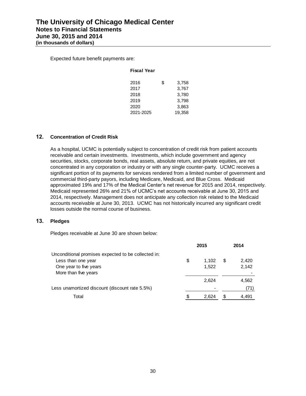Expected future benefit payments are:

## **Fiscal Year**

| 2016 |           | \$<br>3,758 |
|------|-----------|-------------|
| 2017 |           | 3,767       |
| 2018 |           | 3,780       |
| 2019 |           | 3,798       |
| 2020 |           | 3,863       |
|      | 2021-2025 | 19,358      |
|      |           |             |

# **12. Concentration of Credit Risk**

As a hospital, UCMC is potentially subject to concentration of credit risk from patient accounts receivable and certain investments. Investments, which include government and agency securities, stocks, corporate bonds, real assets, absolute return, and private equities, are not concentrated in any corporation or industry or with any single counter-party. UCMC receives a significant portion of its payments for services rendered from a limited number of government and commercial third-party payors, including Medicare, Medicaid, and Blue Cross. Medicaid approximated 19% and 17% of the Medical Center's net revenue for 2015 and 2014, respectively. Medicaid represented 26% and 21% of UCMC's net accounts receivable at June 30, 2015 and 2014, respectively. Management does not anticipate any collection risk related to the Medicaid accounts receivable at June 30, 2013. UCMC has not historically incurred any significant credit losses outside the normal course of business.

# **13. Pledges**

Pledges receivable at June 30 are shown below:

|                                                     |    | 2015  |   | 2014  |
|-----------------------------------------------------|----|-------|---|-------|
| Unconditional promises expected to be collected in: |    |       |   |       |
| Less than one year                                  | \$ | 1.102 | S | 2,420 |
| One year to five years                              |    | 1,522 |   | 2,142 |
| More than five years                                |    |       |   |       |
|                                                     |    | 2,624 |   | 4,562 |
| Less unamortized discount (discount rate 5.5%)      |    |       |   | (71)  |
| Total                                               | S  | 2.624 |   | 4.491 |
|                                                     |    |       |   |       |